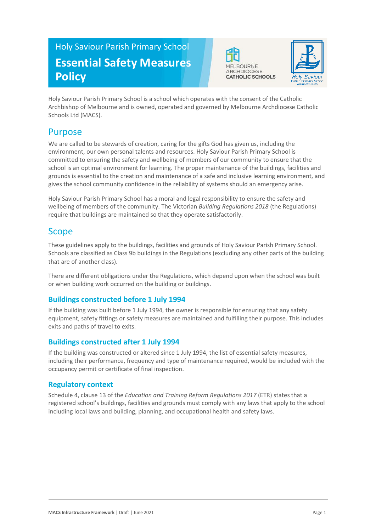# Holy Saviour Parish Primary School **Essential Safety Measures Policy**





Holy Saviour Parish Primary School is a school which operates with the consent of the Catholic Archbishop of Melbourne and is owned, operated and governed by Melbourne Archdiocese Catholic Schools Ltd (MACS).

### Purpose

We are called to be stewards of creation, caring for the gifts God has given us, including the environment, our own personal talents and resources. Holy Saviour Parish Primary School is committed to ensuring the safety and wellbeing of members of our community to ensure that the school is an optimal environment for learning. The proper maintenance of the buildings, facilities and grounds is essential to the creation and maintenance of a safe and inclusive learning environment, and gives the school community confidence in the reliability of systems should an emergency arise.

Holy Saviour Parish Primary School has a moral and legal responsibility to ensure the safety and wellbeing of members of the community. The Victorian *Building Regulations 2018* (the Regulations) require that buildings are maintained so that they operate satisfactorily.

## Scope

These guidelines apply to the buildings, facilities and grounds of Holy Saviour Parish Primary School. Schools are classified as Class 9b buildings in the Regulations (excluding any other parts of the building that are of another class).

There are different obligations under the Regulations, which depend upon when the school was built or when building work occurred on the building or buildings.

### **Buildings constructed before 1 July 1994**

If the building was built before 1 July 1994, the owner is responsible for ensuring that any safety equipment, safety fittings or safety measures are maintained and fulfilling their purpose. This includes exits and paths of travel to exits.

### **Buildings constructed after 1 July 1994**

If the building was constructed or altered since 1 July 1994, the list of essential safety measures, including their performance, frequency and type of maintenance required, would be included with the occupancy permit or certificate of final inspection.

#### **Regulatory context**

Schedule 4, clause 13 of the *Education and Training Reform Regulations 2017* (ETR) states that a registered school's buildings, facilities and grounds must comply with any laws that apply to the school including local laws and building, planning, and occupational health and safety laws.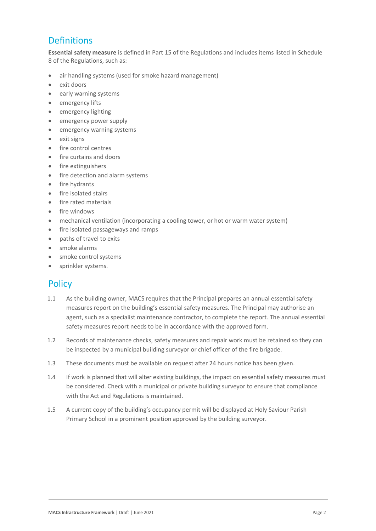# **Definitions**

**Essential safety measure** is defined in Part 15 of the Regulations and includes items listed in Schedule 8 of the Regulations, such as:

- air handling systems (used for smoke hazard management)
- exit doors
- early warning systems
- emergency lifts
- emergency lighting
- emergency power supply
- emergency warning systems
- exit signs
- fire control centres
- fire curtains and doors
- fire extinguishers
- fire detection and alarm systems
- fire hydrants
- fire isolated stairs
- fire rated materials
- fire windows
- mechanical ventilation (incorporating a cooling tower, or hot or warm water system)
- fire isolated passageways and ramps
- paths of travel to exits
- smoke alarms
- smoke control systems
- sprinkler systems.

### **Policy**

- 1.1 As the building owner, MACS requires that the Principal prepares an annual essential safety measures report on the building's essential safety measures. The Principal may authorise an agent, such as a specialist maintenance contractor, to complete the report. The annual essential safety measures report needs to be in accordance with the approved form.
- 1.2 Records of maintenance checks, safety measures and repair work must be retained so they can be inspected by a municipal building surveyor or chief officer of the fire brigade.
- 1.3 These documents must be available on request after 24 hours notice has been given.
- 1.4 If work is planned that will alter existing buildings, the impact on essential safety measures must be considered. Check with a municipal or private building surveyor to ensure that compliance with the Act and Regulations is maintained.
- 1.5 A current copy of the building's occupancy permit will be displayed at Holy Saviour Parish Primary School in a prominent position approved by the building surveyor.